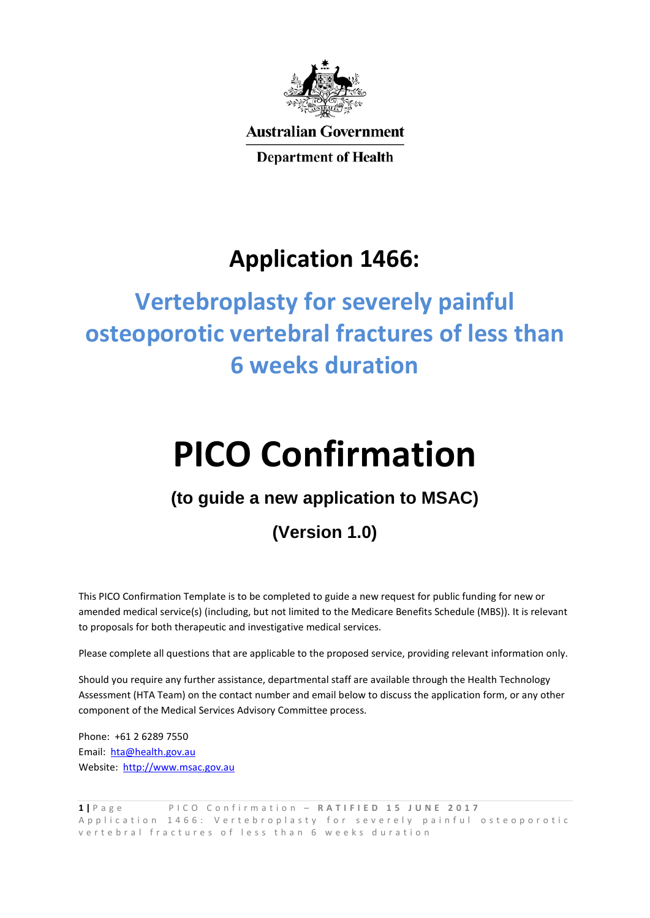

**Australian Government** 

**Department of Health** 

## **Application 1466:**

# **Vertebroplasty for severely painful osteoporotic vertebral fractures of less than 6 weeks duration**

# **PICO Confirmation**

### **(to guide a new application to MSAC)**

## **(Version 1.0)**

This PICO Confirmation Template is to be completed to guide a new request for public funding for new or amended medical service(s) (including, but not limited to the Medicare Benefits Schedule (MBS)). It is relevant to proposals for both therapeutic and investigative medical services.

Please complete all questions that are applicable to the proposed service, providing relevant information only.

Should you require any further assistance, departmental staff are available through the Health Technology Assessment (HTA Team) on the contact number and email below to discuss the application form, or any other component of the Medical Services Advisory Committee process.

Phone: +61 2 6289 7550 Email: [hta@health.gov.au](mailto:hta@health.gov.au) Website: [http://www.msac.gov.au](http://www.msac.gov.au/)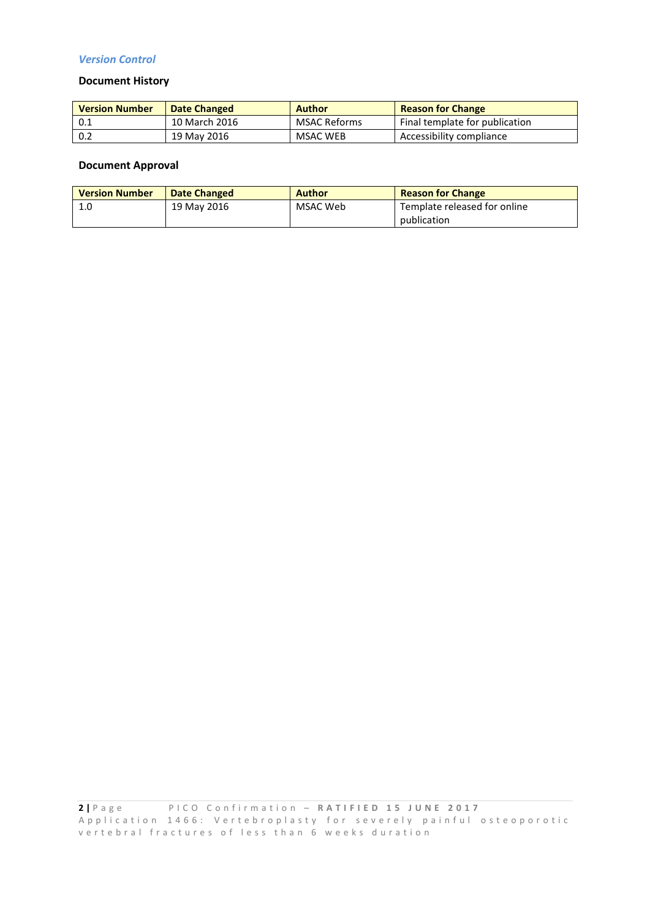#### *Version Control*

#### **Document History**

| <b>Version Number</b> | Date Changed  | <b>Author</b> | <b>Reason for Change</b>       |
|-----------------------|---------------|---------------|--------------------------------|
| 0.1                   | 10 March 2016 | MSAC Reforms  | Final template for publication |
| 0.2                   | 19 May 2016   | MSAC WEB      | Accessibility compliance       |

#### **Document Approval**

| <b>Version Number</b> | <b>Date Changed</b> | <b>Author</b> | <b>Reason for Change</b>     |  |
|-----------------------|---------------------|---------------|------------------------------|--|
| 1.0                   | 19 May 2016         | MSAC Web      | Template released for online |  |
|                       |                     |               | publication                  |  |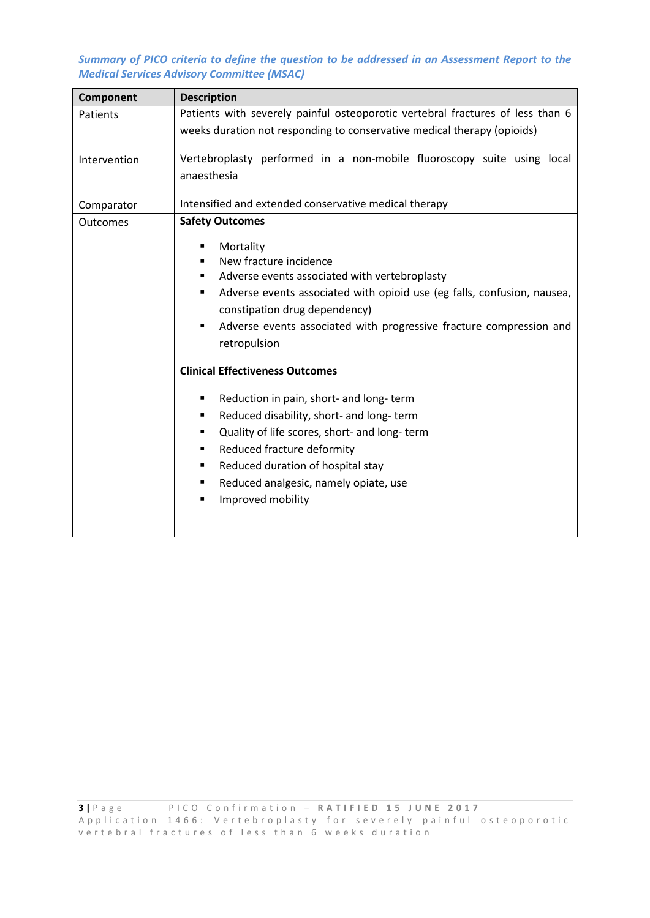*Summary of PICO criteria to define the question to be addressed in an Assessment Report to the Medical Services Advisory Committee (MSAC)*

| Component       | <b>Description</b>                                                                                                                                                                                                                                                                                                                                                                                                                                                                                                                                                                      |  |  |  |  |
|-----------------|-----------------------------------------------------------------------------------------------------------------------------------------------------------------------------------------------------------------------------------------------------------------------------------------------------------------------------------------------------------------------------------------------------------------------------------------------------------------------------------------------------------------------------------------------------------------------------------------|--|--|--|--|
| Patients        | Patients with severely painful osteoporotic vertebral fractures of less than 6                                                                                                                                                                                                                                                                                                                                                                                                                                                                                                          |  |  |  |  |
|                 | weeks duration not responding to conservative medical therapy (opioids)                                                                                                                                                                                                                                                                                                                                                                                                                                                                                                                 |  |  |  |  |
| Intervention    | Vertebroplasty performed in a non-mobile fluoroscopy suite using local                                                                                                                                                                                                                                                                                                                                                                                                                                                                                                                  |  |  |  |  |
|                 | anaesthesia                                                                                                                                                                                                                                                                                                                                                                                                                                                                                                                                                                             |  |  |  |  |
| Comparator      | Intensified and extended conservative medical therapy                                                                                                                                                                                                                                                                                                                                                                                                                                                                                                                                   |  |  |  |  |
| <b>Outcomes</b> | <b>Safety Outcomes</b><br>Mortality<br>٠<br>New fracture incidence<br>$\blacksquare$<br>Adverse events associated with vertebroplasty<br>Adverse events associated with opioid use (eg falls, confusion, nausea,<br>٠<br>constipation drug dependency)<br>Adverse events associated with progressive fracture compression and<br>٠<br>retropulsion<br><b>Clinical Effectiveness Outcomes</b><br>Reduction in pain, short- and long- term<br>٠<br>Reduced disability, short- and long- term<br>٠<br>Quality of life scores, short- and long-term<br>٠<br>Reduced fracture deformity<br>٠ |  |  |  |  |
|                 | Reduced duration of hospital stay<br>٠<br>Reduced analgesic, namely opiate, use<br>٠                                                                                                                                                                                                                                                                                                                                                                                                                                                                                                    |  |  |  |  |
|                 | Improved mobility<br>$\blacksquare$                                                                                                                                                                                                                                                                                                                                                                                                                                                                                                                                                     |  |  |  |  |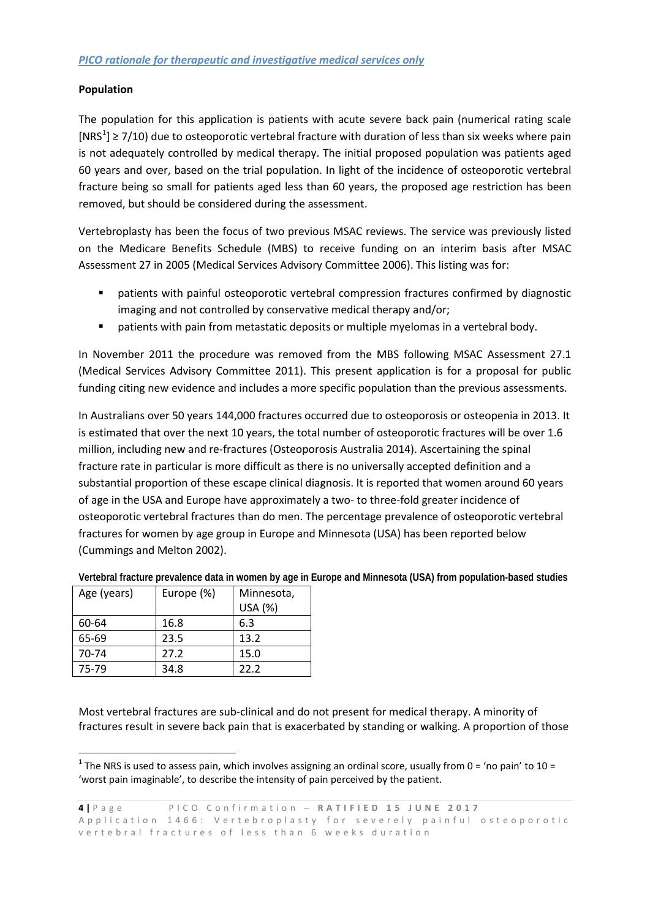#### **Population**

The population for this application is patients with acute severe back pain (numerical rating scale  $[NRS<sup>1</sup>] \ge 7/10$  $[NRS<sup>1</sup>] \ge 7/10$  $[NRS<sup>1</sup>] \ge 7/10$ ) due to osteoporotic vertebral fracture with duration of less than six weeks where pain is not adequately controlled by medical therapy. The initial proposed population was patients aged 60 years and over, based on the trial population. In light of the incidence of osteoporotic vertebral fracture being so small for patients aged less than 60 years, the proposed age restriction has been removed, but should be considered during the assessment.

Vertebroplasty has been the focus of two previous MSAC reviews. The service was previously listed on the Medicare Benefits Schedule (MBS) to receive funding on an interim basis after MSAC Assessment 27 in 2005 (Medical Services Advisory Committee 2006). This listing was for:

- patients with painful osteoporotic vertebral compression fractures confirmed by diagnostic imaging and not controlled by conservative medical therapy and/or;
- **P** patients with pain from metastatic deposits or multiple myelomas in a vertebral body.

In November 2011 the procedure was removed from the MBS following MSAC Assessment 27.1 (Medical Services Advisory Committee 2011). This present application is for a proposal for public funding citing new evidence and includes a more specific population than the previous assessments.

In Australians over 50 years 144,000 fractures occurred due to osteoporosis or osteopenia in 2013. It is estimated that over the next 10 years, the total number of osteoporotic fractures will be over 1.6 million, including new and re-fractures (Osteoporosis Australia 2014). Ascertaining the spinal fracture rate in particular is more difficult as there is no universally accepted definition and a substantial proportion of these escape clinical diagnosis. It is reported that women around 60 years of age in the USA and Europe have approximately a two- to three-fold greater incidence of osteoporotic vertebral fractures than do men. The percentage prevalence of osteoporotic vertebral fractures for women by age group in Europe and Minnesota (USA) has been reported below (Cummings and Melton 2002).

| Age (years) | Europe (%) | Minnesota, |  |
|-------------|------------|------------|--|
|             |            | USA (%)    |  |
| 60-64       | 16.8       | 6.3        |  |
| 65-69       | 23.5       | 13.2       |  |
| 70-74       | 27.2       | 15.0       |  |
| 75-79       | 34.8       | 22.2       |  |

**Vertebral fracture prevalence data in women by age in Europe and Minnesota (USA) from population-based studies**

Most vertebral fractures are sub-clinical and do not present for medical therapy. A minority of fractures result in severe back pain that is exacerbated by standing or walking. A proportion of those

<span id="page-3-0"></span><sup>&</sup>lt;sup>1</sup> The NRS is used to assess pain, which involves assigning an ordinal score, usually from 0 = 'no pain' to 10 = 'worst pain imaginable', to describe the intensity of pain perceived by the patient.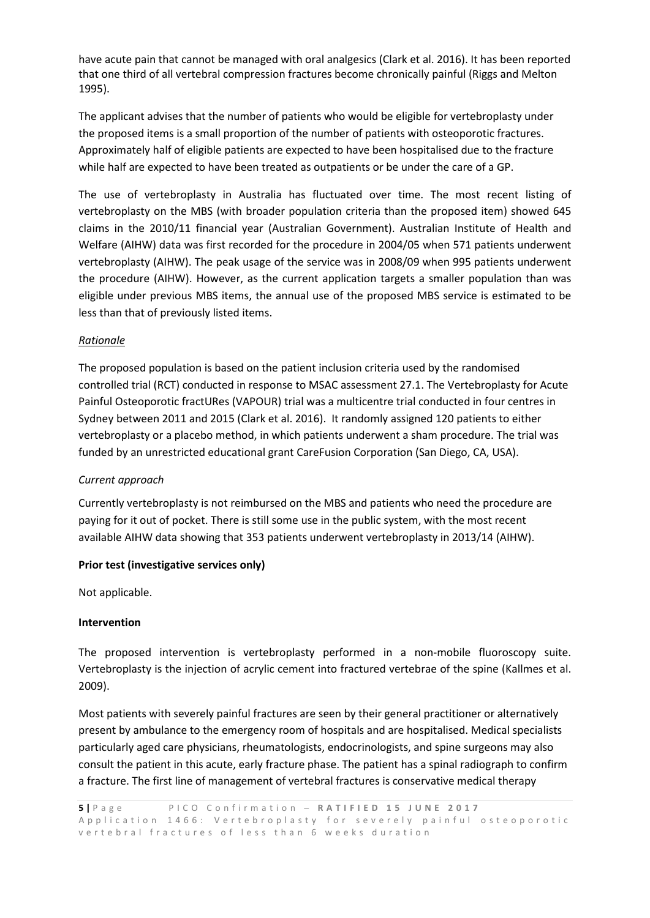have acute pain that cannot be managed with oral analgesics (Clark et al. 2016). It has been reported that one third of all vertebral compression fractures become chronically painful (Riggs and Melton 1995).

The applicant advises that the number of patients who would be eligible for vertebroplasty under the proposed items is a small proportion of the number of patients with osteoporotic fractures. Approximately half of eligible patients are expected to have been hospitalised due to the fracture while half are expected to have been treated as outpatients or be under the care of a GP.

The use of vertebroplasty in Australia has fluctuated over time. The most recent listing of vertebroplasty on the MBS (with broader population criteria than the proposed item) showed 645 claims in the 2010/11 financial year (Australian Government). Australian Institute of Health and Welfare (AIHW) data was first recorded for the procedure in 2004/05 when 571 patients underwent vertebroplasty (AIHW). The peak usage of the service was in 2008/09 when 995 patients underwent the procedure (AIHW). However, as the current application targets a smaller population than was eligible under previous MBS items, the annual use of the proposed MBS service is estimated to be less than that of previously listed items.

#### *Rationale*

The proposed population is based on the patient inclusion criteria used by the randomised controlled trial (RCT) conducted in response to MSAC assessment 27.1. The Vertebroplasty for Acute Painful Osteoporotic fractURes (VAPOUR) trial was a multicentre trial conducted in four centres in Sydney between 2011 and 2015 (Clark et al. 2016). It randomly assigned 120 patients to either vertebroplasty or a placebo method, in which patients underwent a sham procedure. The trial was funded by an unrestricted educational grant CareFusion Corporation (San Diego, CA, USA).

#### *Current approach*

Currently vertebroplasty is not reimbursed on the MBS and patients who need the procedure are paying for it out of pocket. There is still some use in the public system, with the most recent available AIHW data showing that 353 patients underwent vertebroplasty in 2013/14 (AIHW).

#### **Prior test (investigative services only)**

Not applicable.

#### **Intervention**

The proposed intervention is vertebroplasty performed in a non-mobile fluoroscopy suite. Vertebroplasty is the injection of acrylic cement into fractured vertebrae of the spine (Kallmes et al. 2009).

Most patients with severely painful fractures are seen by their general practitioner or alternatively present by ambulance to the emergency room of hospitals and are hospitalised. Medical specialists particularly aged care physicians, rheumatologists, endocrinologists, and spine surgeons may also consult the patient in this acute, early fracture phase. The patient has a spinal radiograph to confirm a fracture. The first line of management of vertebral fractures is conservative medical therapy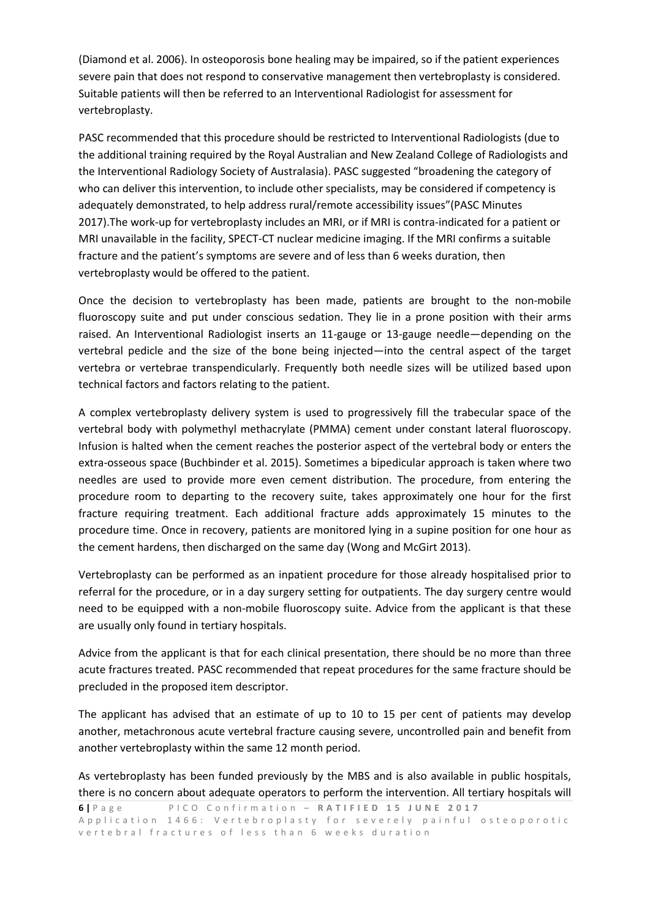(Diamond et al. 2006). In osteoporosis bone healing may be impaired, so if the patient experiences severe pain that does not respond to conservative management then vertebroplasty is considered. Suitable patients will then be referred to an Interventional Radiologist for assessment for vertebroplasty.

PASC recommended that this procedure should be restricted to Interventional Radiologists (due to the additional training required by the Royal Australian and New Zealand College of Radiologists and the Interventional Radiology Society of Australasia). PASC suggested "broadening the category of who can deliver this intervention, to include other specialists, may be considered if competency is adequately demonstrated, to help address rural/remote accessibility issues"(PASC Minutes 2017).The work-up for vertebroplasty includes an MRI, or if MRI is contra-indicated for a patient or MRI unavailable in the facility, SPECT-CT nuclear medicine imaging. If the MRI confirms a suitable fracture and the patient's symptoms are severe and of less than 6 weeks duration, then vertebroplasty would be offered to the patient.

Once the decision to vertebroplasty has been made, patients are brought to the non-mobile fluoroscopy suite and put under conscious sedation. They lie in a prone position with their arms raised. An Interventional Radiologist inserts an 11-gauge or 13-gauge needle—depending on the vertebral pedicle and the size of the bone being injected—into the central aspect of the target vertebra or vertebrae transpendicularly. Frequently both needle sizes will be utilized based upon technical factors and factors relating to the patient.

A complex vertebroplasty delivery system is used to progressively fill the trabecular space of the vertebral body with polymethyl methacrylate (PMMA) cement under constant lateral fluoroscopy. Infusion is halted when the cement reaches the posterior aspect of the vertebral body or enters the extra-osseous space (Buchbinder et al. 2015). Sometimes a bipedicular approach is taken where two needles are used to provide more even cement distribution. The procedure, from entering the procedure room to departing to the recovery suite, takes approximately one hour for the first fracture requiring treatment. Each additional fracture adds approximately 15 minutes to the procedure time. Once in recovery, patients are monitored lying in a supine position for one hour as the cement hardens, then discharged on the same day (Wong and McGirt 2013).

Vertebroplasty can be performed as an inpatient procedure for those already hospitalised prior to referral for the procedure, or in a day surgery setting for outpatients. The day surgery centre would need to be equipped with a non-mobile fluoroscopy suite. Advice from the applicant is that these are usually only found in tertiary hospitals.

Advice from the applicant is that for each clinical presentation, there should be no more than three acute fractures treated. PASC recommended that repeat procedures for the same fracture should be precluded in the proposed item descriptor.

The applicant has advised that an estimate of up to 10 to 15 per cent of patients may develop another, metachronous acute vertebral fracture causing severe, uncontrolled pain and benefit from another vertebroplasty within the same 12 month period.

As vertebroplasty has been funded previously by the MBS and is also available in public hospitals, there is no concern about adequate operators to perform the intervention. All tertiary hospitals will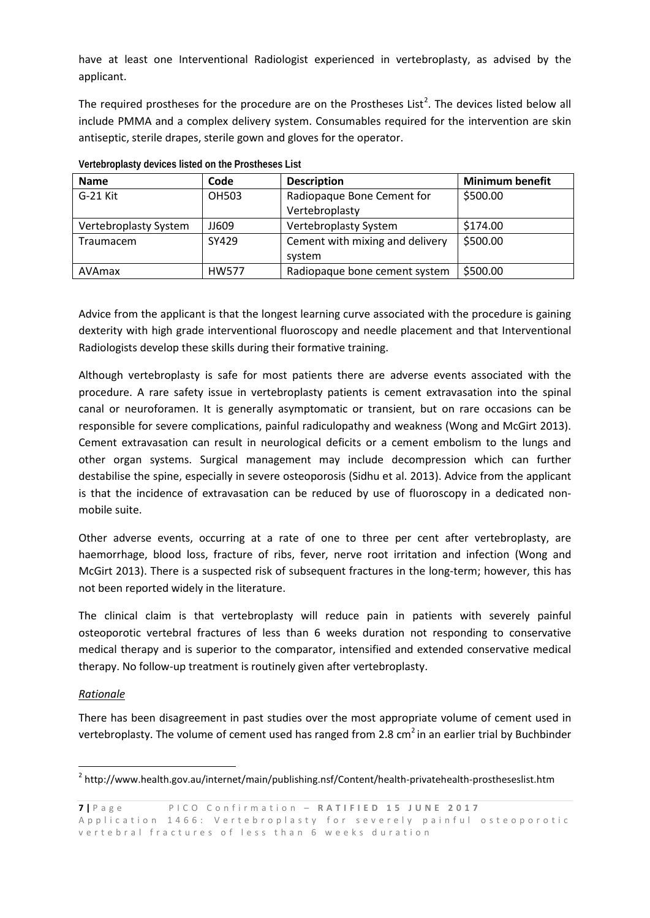have at least one Interventional Radiologist experienced in vertebroplasty, as advised by the applicant.

The required prostheses for the procedure are on the Prostheses List<sup>[2](#page-6-0)</sup>. The devices listed below all include PMMA and a complex delivery system. Consumables required for the intervention are skin antiseptic, sterile drapes, sterile gown and gloves for the operator.

| <b>Name</b>           | Code         | <b>Description</b>              | <b>Minimum benefit</b> |
|-----------------------|--------------|---------------------------------|------------------------|
| G-21 Kit              | <b>OH503</b> | Radiopaque Bone Cement for      | \$500.00               |
|                       |              | Vertebroplasty                  |                        |
| Vertebroplasty System | JJ609        | Vertebroplasty System           | \$174.00               |
| Traumacem             | SY429        | Cement with mixing and delivery | \$500.00               |
|                       |              | system                          |                        |
| AVAmax                | <b>HW577</b> | Radiopaque bone cement system   | \$500.00               |

**Vertebroplasty devices listed on the Prostheses List**

Advice from the applicant is that the longest learning curve associated with the procedure is gaining dexterity with high grade interventional fluoroscopy and needle placement and that Interventional Radiologists develop these skills during their formative training.

Although vertebroplasty is safe for most patients there are adverse events associated with the procedure. A rare safety issue in vertebroplasty patients is cement extravasation into the spinal canal or neuroforamen. It is generally asymptomatic or transient, but on rare occasions can be responsible for severe complications, painful radiculopathy and weakness (Wong and McGirt 2013). Cement extravasation can result in neurological deficits or a cement embolism to the lungs and other organ systems. Surgical management may include decompression which can further destabilise the spine, especially in severe osteoporosis (Sidhu et al. 2013). Advice from the applicant is that the incidence of extravasation can be reduced by use of fluoroscopy in a dedicated nonmobile suite.

Other adverse events, occurring at a rate of one to three per cent after vertebroplasty, are haemorrhage, blood loss, fracture of ribs, fever, nerve root irritation and infection (Wong and McGirt 2013). There is a suspected risk of subsequent fractures in the long-term; however, this has not been reported widely in the literature.

The clinical claim is that vertebroplasty will reduce pain in patients with severely painful osteoporotic vertebral fractures of less than 6 weeks duration not responding to conservative medical therapy and is superior to the comparator, intensified and extended conservative medical therapy. No follow-up treatment is routinely given after vertebroplasty.

#### *Rationale*

There has been disagreement in past studies over the most appropriate volume of cement used in vertebroplasty. The volume of cement used has ranged from 2.8  $cm<sup>2</sup>$  in an earlier trial by Buchbinder

<span id="page-6-0"></span> <sup>2</sup> http://www.health.gov.au/internet/main/publishing.nsf/Content/health-privatehealth-prostheseslist.htm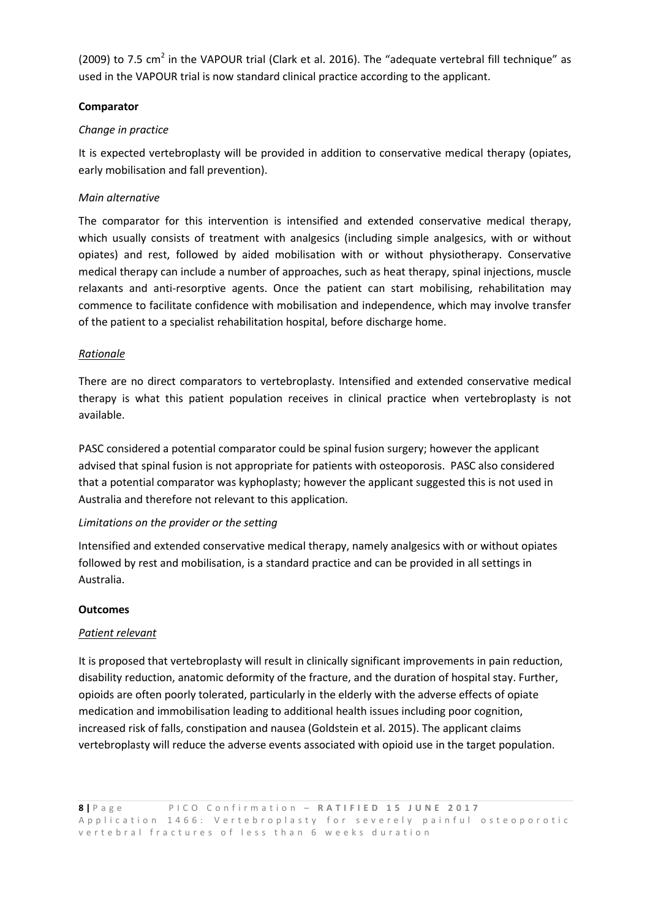(2009) to 7.5 cm<sup>2</sup> in the VAPOUR trial (Clark et al. 2016). The "adequate vertebral fill technique" as used in the VAPOUR trial is now standard clinical practice according to the applicant.

#### **Comparator**

#### *Change in practice*

It is expected vertebroplasty will be provided in addition to conservative medical therapy (opiates, early mobilisation and fall prevention).

#### *Main alternative*

The comparator for this intervention is intensified and extended conservative medical therapy, which usually consists of treatment with analgesics (including simple analgesics, with or without opiates) and rest, followed by aided mobilisation with or without physiotherapy. Conservative medical therapy can include a number of approaches, such as heat therapy, spinal injections, muscle relaxants and anti-resorptive agents. Once the patient can start mobilising, rehabilitation may commence to facilitate confidence with mobilisation and independence, which may involve transfer of the patient to a specialist rehabilitation hospital, before discharge home.

#### *Rationale*

There are no direct comparators to vertebroplasty. Intensified and extended conservative medical therapy is what this patient population receives in clinical practice when vertebroplasty is not available.

PASC considered a potential comparator could be spinal fusion surgery; however the applicant advised that spinal fusion is not appropriate for patients with osteoporosis. PASC also considered that a potential comparator was kyphoplasty; however the applicant suggested this is not used in Australia and therefore not relevant to this application.

#### *Limitations on the provider or the setting*

Intensified and extended conservative medical therapy, namely analgesics with or without opiates followed by rest and mobilisation, is a standard practice and can be provided in all settings in Australia.

#### **Outcomes**

#### *Patient relevant*

It is proposed that vertebroplasty will result in clinically significant improvements in pain reduction, disability reduction, anatomic deformity of the fracture, and the duration of hospital stay. Further, opioids are often poorly tolerated, particularly in the elderly with the adverse effects of opiate medication and immobilisation leading to additional health issues including poor cognition, increased risk of falls, constipation and nausea (Goldstein et al. 2015). The applicant claims vertebroplasty will reduce the adverse events associated with opioid use in the target population.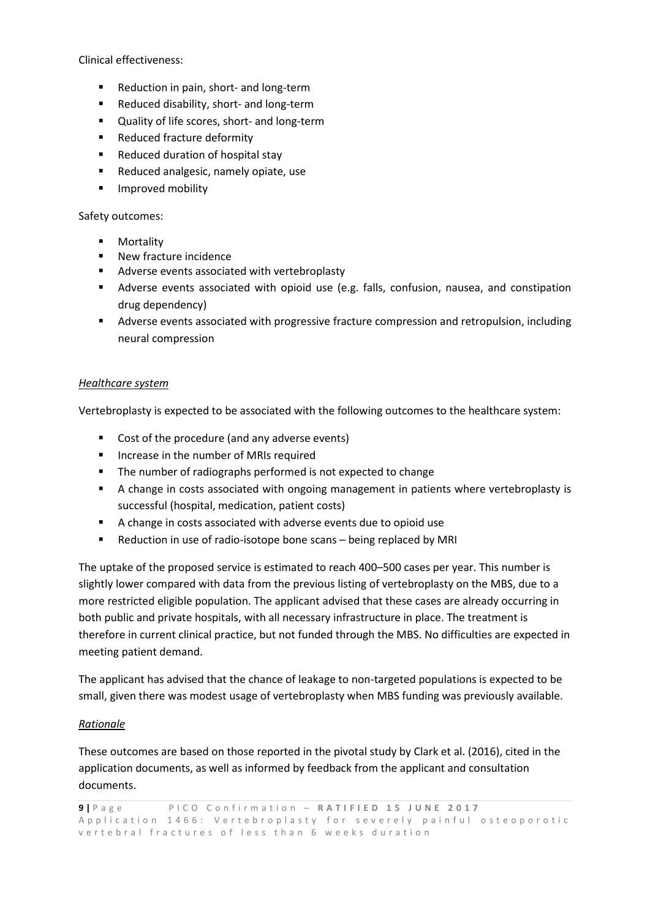Clinical effectiveness:

- **Reduction in pain, short- and long-term**
- Reduced disability, short- and long-term
- Quality of life scores, short- and long-term
- Reduced fracture deformity
- Reduced duration of hospital stay
- Reduced analgesic, namely opiate, use
- **Improved mobility**

#### Safety outcomes:

- **•** Mortality
- **New fracture incidence**
- Adverse events associated with vertebroplasty
- Adverse events associated with opioid use (e.g. falls, confusion, nausea, and constipation drug dependency)
- Adverse events associated with progressive fracture compression and retropulsion, including neural compression

#### *Healthcare system*

Vertebroplasty is expected to be associated with the following outcomes to the healthcare system:

- Cost of the procedure (and any adverse events)
- **If** Increase in the number of MRIs required
- The number of radiographs performed is not expected to change
- A change in costs associated with ongoing management in patients where vertebroplasty is successful (hospital, medication, patient costs)
- A change in costs associated with adverse events due to opioid use
- **EXECT** Reduction in use of radio-isotope bone scans being replaced by MRI

The uptake of the proposed service is estimated to reach 400–500 cases per year. This number is slightly lower compared with data from the previous listing of vertebroplasty on the MBS, due to a more restricted eligible population. The applicant advised that these cases are already occurring in both public and private hospitals, with all necessary infrastructure in place. The treatment is therefore in current clinical practice, but not funded through the MBS. No difficulties are expected in meeting patient demand.

The applicant has advised that the chance of leakage to non-targeted populations is expected to be small, given there was modest usage of vertebroplasty when MBS funding was previously available.

#### *Rationale*

These outcomes are based on those reported in the pivotal study by Clark et al. (2016), cited in the application documents, as well as informed by feedback from the applicant and consultation documents.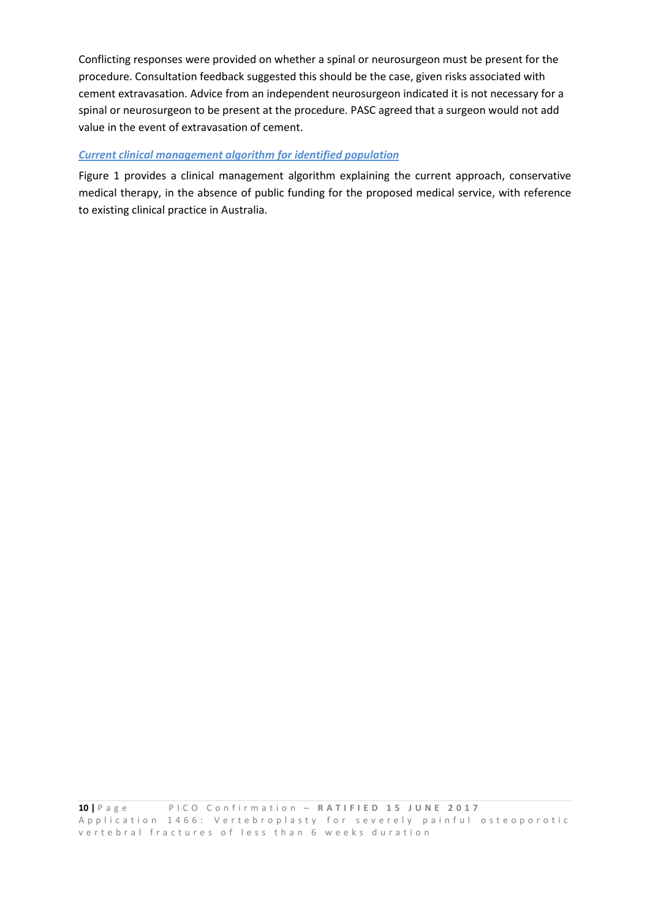Conflicting responses were provided on whether a spinal or neurosurgeon must be present for the procedure. Consultation feedback suggested this should be the case, given risks associated with cement extravasation. Advice from an independent neurosurgeon indicated it is not necessary for a spinal or neurosurgeon to be present at the procedure. PASC agreed that a surgeon would not add value in the event of extravasation of cement.

#### *Current clinical management algorithm for identified population*

[Figure 1](#page-10-0) provides a clinical management algorithm explaining the current approach, conservative medical therapy, in the absence of public funding for the proposed medical service, with reference to existing clinical practice in Australia.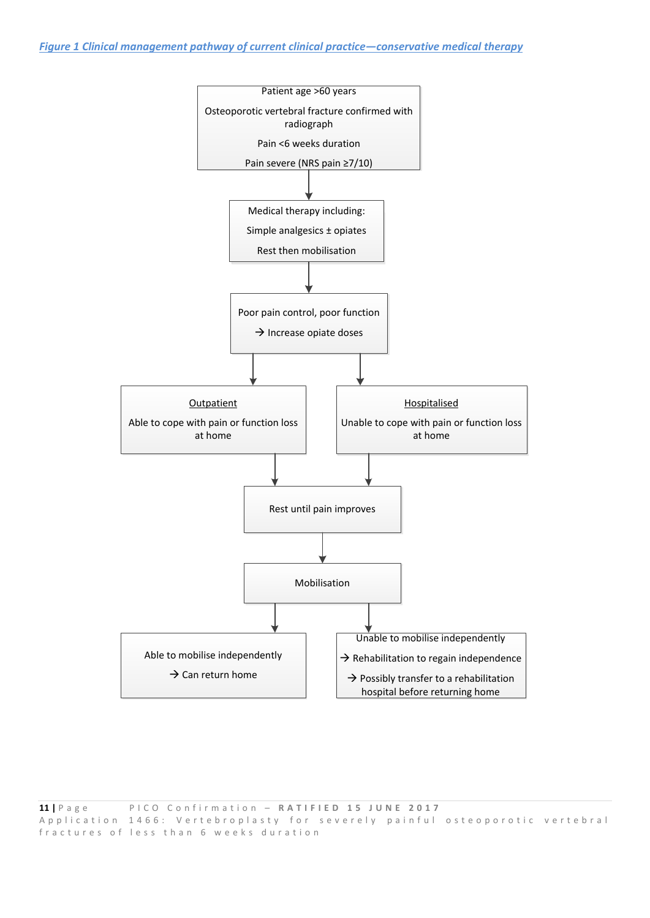<span id="page-10-0"></span>*Figure 1 Clinical management pathway of current clinical practice—conservative medical therapy*

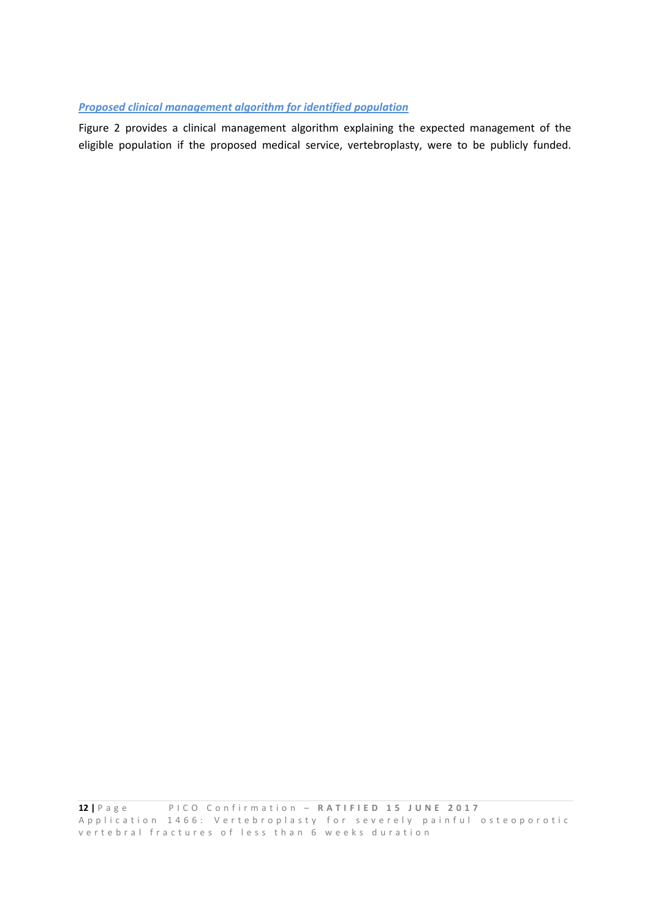#### *Proposed clinical management algorithm for identified population*

[Figure 2](#page-12-0) provides a clinical management algorithm explaining the expected management of the eligible population if the proposed medical service, vertebroplasty, were to be publicly funded.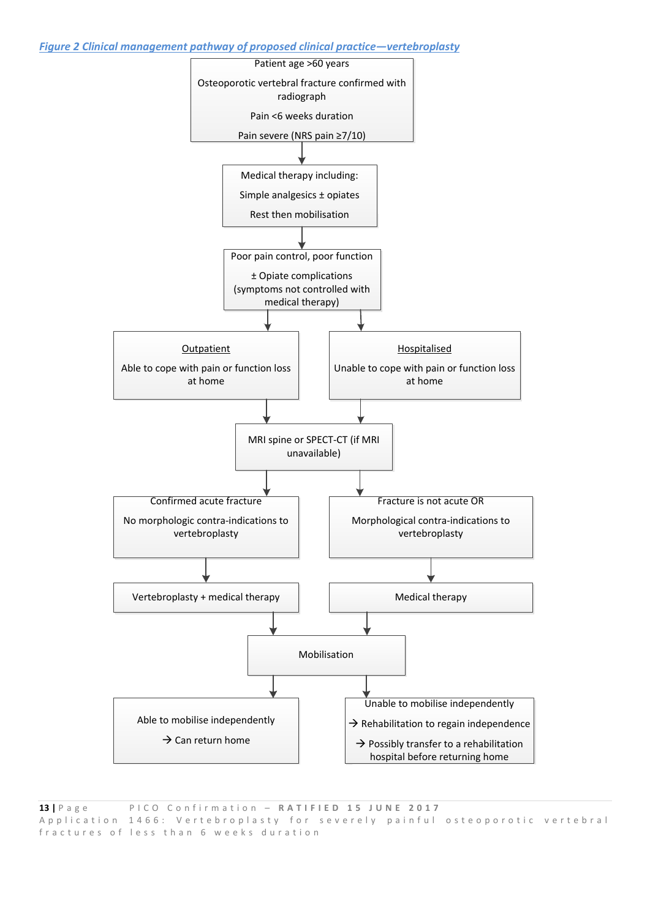<span id="page-12-0"></span>*Figure 2 Clinical management pathway of proposed clinical practice—vertebroplasty*

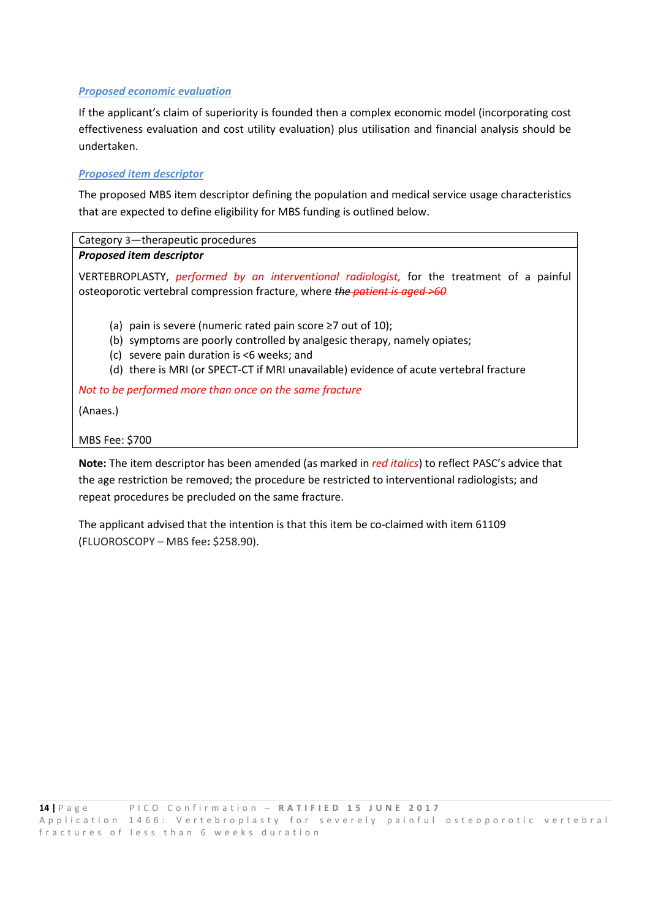#### *Proposed economic evaluation*

If the applicant's claim of superiority is founded then a complex economic model (incorporating cost effectiveness evaluation and cost utility evaluation) plus utilisation and financial analysis should be undertaken.

#### *Proposed item descriptor*

The proposed MBS item descriptor defining the population and medical service usage characteristics that are expected to define eligibility for MBS funding is outlined below.

#### Category 3—therapeutic procedures *Proposed item descriptor*

VERTEBROPLASTY, *performed by an interventional radiologist,* for the treatment of a painful osteoporotic vertebral compression fracture, where *the patient is aged >60*

- (a) pain is severe (numeric rated pain score  $\geq 7$  out of 10);
- (b) symptoms are poorly controlled by analgesic therapy, namely opiates;
- (c) severe pain duration is <6 weeks; and
- (d) there is MRI (or SPECT-CT if MRI unavailable) evidence of acute vertebral fracture

*Not to be performed more than once on the same fracture* 

(Anaes.)

#### MBS Fee: \$700

**Note:** The item descriptor has been amended (as marked in *red italics*) to reflect PASC's advice that the age restriction be removed; the procedure be restricted to interventional radiologists; and repeat procedures be precluded on the same fracture.

The applicant advised that the intention is that this item be co-claimed with item 61109 (FLUOROSCOPY – MBS fee**:** \$258.90).